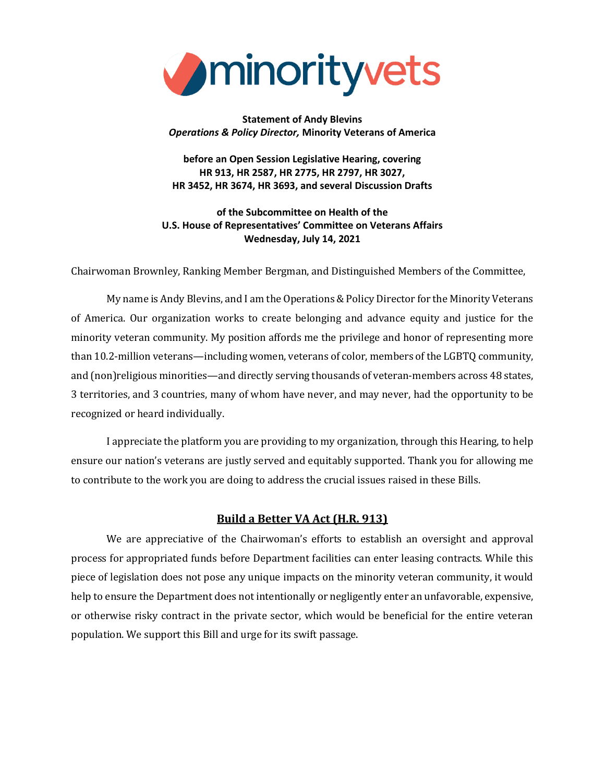

### **Statement of Andy Blevins** *Operations & Policy Director,* **Minority Veterans of America**

**before an Open Session Legislative Hearing, covering HR 913, HR 2587, HR 2775, HR 2797, HR 3027, HR 3452, HR 3674, HR 3693, and several Discussion Drafts**

**of the Subcommittee on Health of the U.S. House of Representatives' Committee on Veterans Affairs Wednesday, July 14, 2021**

Chairwoman Brownley, Ranking Member Bergman, and Distinguished Members of the Committee,

My name is Andy Blevins, and I am the Operations & Policy Director for the Minority Veterans of America. Our organization works to create belonging and advance equity and justice for the minority veteran community. My position affords me the privilege and honor of representing more than 10.2-million veterans—including women, veterans of color, members of the LGBTQ community, and (non)religious minorities—and directly serving thousands of veteran-members across 48 states, 3 territories, and 3 countries, many of whom have never, and may never, had the opportunity to be recognized or heard individually.

I appreciate the platform you are providing to my organization, through this Hearing, to help ensure our nation's veterans are justly served and equitably supported. Thank you for allowing me to contribute to the work you are doing to address the crucial issues raised in these Bills.

## **Build a Better VA Act (H.R. 913)**

We are appreciative of the Chairwoman's efforts to establish an oversight and approval process for appropriated funds before Department facilities can enter leasing contracts. While this piece of legislation does not pose any unique impacts on the minority veteran community, it would help to ensure the Department does not intentionally or negligently enter an unfavorable, expensive, or otherwise risky contract in the private sector, which would be beneficial for the entire veteran population. We support this Bill and urge for its swift passage.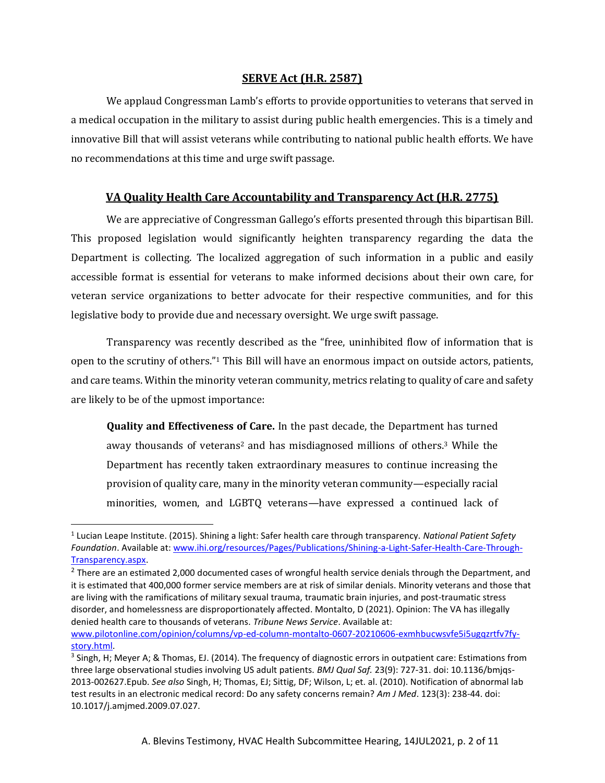#### **SERVE Act (H.R. 2587)**

We applaud Congressman Lamb's efforts to provide opportunities to veterans that served in a medical occupation in the military to assist during public health emergencies. This is a timely and innovative Bill that will assist veterans while contributing to national public health efforts. We have no recommendations at this time and urge swift passage.

## **VA Quality Health Care Accountability and Transparency Act (H.R. 2775)**

We are appreciative of Congressman Gallego's efforts presented through this bipartisan Bill. This proposed legislation would significantly heighten transparency regarding the data the Department is collecting. The localized aggregation of such information in a public and easily accessible format is essential for veterans to make informed decisions about their own care, for veteran service organizations to better advocate for their respective communities, and for this legislative body to provide due and necessary oversight. We urge swift passage.

Transparency was recently described as the "free, uninhibited flow of information that is open to the scrutiny of others."<sup>1</sup> This Bill will have an enormous impact on outside actors, patients, and care teams. Within the minority veteran community, metrics relating to quality of care and safety are likely to be of the upmost importance:

**Quality and Effectiveness of Care.** In the past decade, the Department has turned away thousands of veterans<sup>2</sup> and has misdiagnosed millions of others.<sup>3</sup> While the Department has recently taken extraordinary measures to continue increasing the provision of quality care, many in the minority veteran community—especially racial minorities, women, and LGBTQ veterans—have expressed a continued lack of

<sup>1</sup> Lucian Leape Institute. (2015). Shining a light: Safer health care through transparency. *National Patient Safety Foundation*. Available at[: www.ihi.org/resources/Pages/Publications/Shining-a-Light-Safer-Health-Care-Through-](http://www.ihi.org/resources/Pages/Publications/Shining-a-Light-Safer-Health-Care-Through-Transparency.aspx)[Transparency.aspx.](http://www.ihi.org/resources/Pages/Publications/Shining-a-Light-Safer-Health-Care-Through-Transparency.aspx)

 $^2$  There are an estimated 2,000 documented cases of wrongful health service denials through the Department, and it is estimated that 400,000 former service members are at risk of similar denials. Minority veterans and those that are living with the ramifications of military sexual trauma, traumatic brain injuries, and post-traumatic stress disorder, and homelessness are disproportionately affected. Montalto, D (2021). Opinion: The VA has illegally denied health care to thousands of veterans. *Tribune News Service*. Available at: [www.pilotonline.com/opinion/columns/vp-ed-column-montalto-0607-20210606-exmhbucwsvfe5i5ugqzrtfv7fy-](https://www.pilotonline.com/opinion/columns/vp-ed-column-montalto-0607-20210606-exmhbucwsvfe5i5ugqzrtfv7fy-story.html)

[story.html.](https://www.pilotonline.com/opinion/columns/vp-ed-column-montalto-0607-20210606-exmhbucwsvfe5i5ugqzrtfv7fy-story.html)

<sup>&</sup>lt;sup>3</sup> Singh, H; Meyer A; & Thomas, EJ. (2014). The frequency of diagnostic errors in outpatient care: Estimations from three large observational studies involving US adult patients. *BMJ Qual Saf.* 23(9): 727-31. doi: 10.1136/bmjqs-2013-002627.Epub. *See also* Singh, H; Thomas, EJ; Sittig, DF; Wilson, L; et. al. (2010). Notification of abnormal lab test results in an electronic medical record: Do any safety concerns remain? *Am J Med*. 123(3): 238-44. doi: 10.1017/j.amjmed.2009.07.027.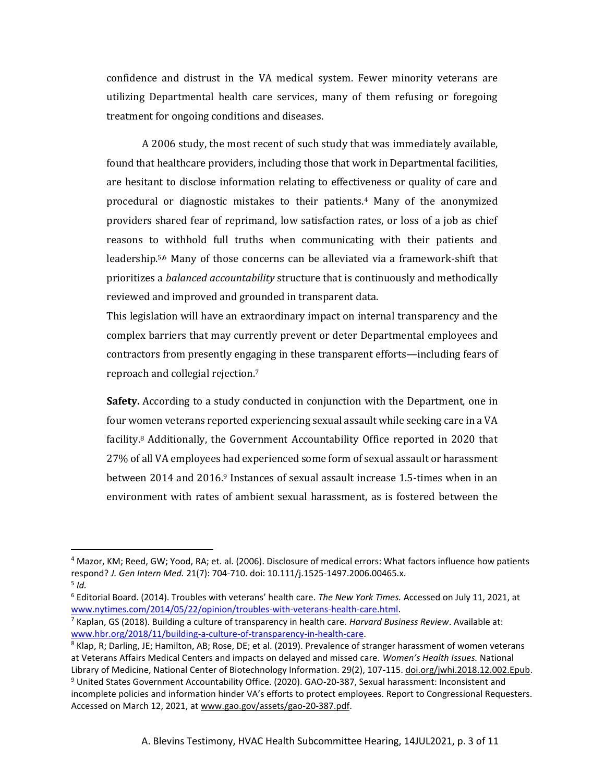confidence and distrust in the VA medical system. Fewer minority veterans are utilizing Departmental health care services, many of them refusing or foregoing treatment for ongoing conditions and diseases.

A 2006 study, the most recent of such study that was immediately available, found that healthcare providers, including those that work in Departmental facilities, are hesitant to disclose information relating to effectiveness or quality of care and procedural or diagnostic mistakes to their patients.<sup>4</sup> Many of the anonymized providers shared fear of reprimand, low satisfaction rates, or loss of a job as chief reasons to withhold full truths when communicating with their patients and leadership.5,6 Many of those concerns can be alleviated via a framework-shift that prioritizes a *balanced accountability* structure that is continuously and methodically reviewed and improved and grounded in transparent data.

This legislation will have an extraordinary impact on internal transparency and the complex barriers that may currently prevent or deter Departmental employees and contractors from presently engaging in these transparent efforts—including fears of reproach and collegial rejection.<sup>7</sup>

**Safety.** According to a study conducted in conjunction with the Department, one in four women veterans reported experiencing sexual assault while seeking care in a VA facility.<sup>8</sup> Additionally, the Government Accountability Office reported in 2020 that 27% of all VA employees had experienced some form of sexual assault or harassment between 2014 and 2016.<sup>9</sup> Instances of sexual assault increase 1.5-times when in an environment with rates of ambient sexual harassment, as is fostered between the

<sup>4</sup> Mazor, KM; Reed, GW; Yood, RA; et. al. (2006). Disclosure of medical errors: What factors influence how patients respond? *J. Gen Intern Med.* 21(7): 704-710. doi: 10.111/j.1525-1497.2006.00465.x.

<sup>5</sup> *Id.*

<sup>6</sup> Editorial Board. (2014). Troubles with veterans' health care. *The New York Times.* Accessed on July 11, 2021, at [www.nytimes.com/2014/05/22/opinion/troubles-with-veterans-health-care.html.](https://www.nytimes.com/2014/05/22/opinion/troubles-with-veterans-health-care.html)

<sup>7</sup> Kaplan, GS (2018). Building a culture of transparency in health care. *Harvard Business Review*. Available at: [www.hbr.org/2018/11/building-a-culture-of-transparency-in-health-care.](https://hbr.org/2018/11/building-a-culture-of-transparency-in-health-care)

<sup>8</sup> Klap, R; Darling, JE; Hamilton, AB; Rose, DE; et al. (2019). Prevalence of stranger harassment of women veterans at Veterans Affairs Medical Centers and impacts on delayed and missed care. *Women's Health Issues.* National Library of Medicine, National Center of Biotechnology Information. 29(2), 107-115. doi.org/jwhi.2018.12.002.Epub. <sup>9</sup> United States Government Accountability Office. (2020). GAO-20-387, Sexual harassment: Inconsistent and incomplete policies and information hinder VA's efforts to protect employees. Report to Congressional Requesters. Accessed on March 12, 2021, at www.gao.gov/assets/gao-20-387.pdf.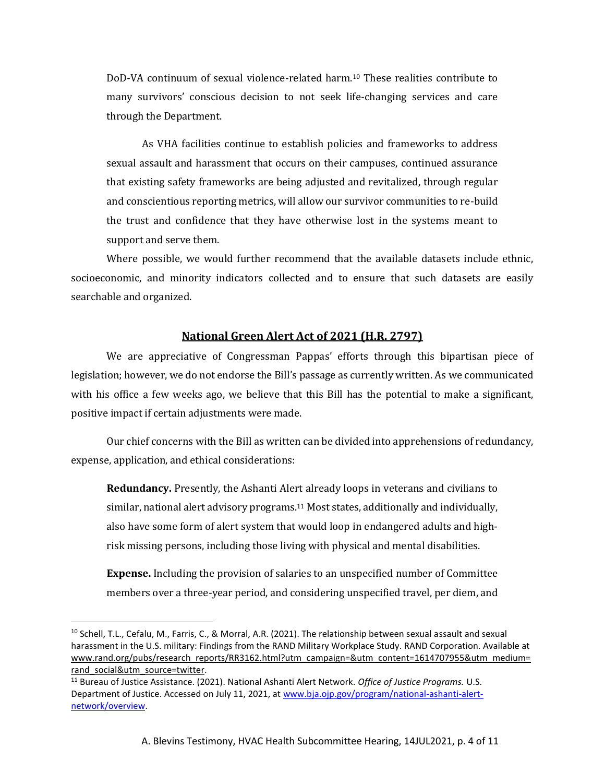DoD-VA continuum of sexual violence-related harm.<sup>10</sup> These realities contribute to many survivors' conscious decision to not seek life-changing services and care through the Department.

As VHA facilities continue to establish policies and frameworks to address sexual assault and harassment that occurs on their campuses, continued assurance that existing safety frameworks are being adjusted and revitalized, through regular and conscientious reporting metrics, will allow our survivor communities to re-build the trust and confidence that they have otherwise lost in the systems meant to support and serve them.

Where possible, we would further recommend that the available datasets include ethnic, socioeconomic, and minority indicators collected and to ensure that such datasets are easily searchable and organized.

#### **National Green Alert Act of 2021 (H.R. 2797)**

We are appreciative of Congressman Pappas' efforts through this bipartisan piece of legislation; however, we do not endorse the Bill's passage as currently written. As we communicated with his office a few weeks ago, we believe that this Bill has the potential to make a significant, positive impact if certain adjustments were made.

Our chief concerns with the Bill as written can be divided into apprehensions of redundancy, expense, application, and ethical considerations:

**Redundancy.** Presently, the Ashanti Alert already loops in veterans and civilians to similar, national alert advisory programs.<sup>11</sup> Most states, additionally and individually, also have some form of alert system that would loop in endangered adults and highrisk missing persons, including those living with physical and mental disabilities.

**Expense.** Including the provision of salaries to an unspecified number of Committee members over a three-year period, and considering unspecified travel, per diem, and

<sup>&</sup>lt;sup>10</sup> Schell, T.L., Cefalu, M., Farris, C., & Morral, A.R. (2021). The relationship between sexual assault and sexual harassment in the U.S. military: Findings from the RAND Military Workplace Study. RAND Corporation. Available at www.rand.org/pubs/research\_reports/RR3162.html?utm\_campaign=&utm\_content=1614707955&utm\_medium= rand\_social&utm\_source=twitter.

<sup>11</sup> Bureau of Justice Assistance. (2021). National Ashanti Alert Network. *Office of Justice Programs.* U.S. Department of Justice. Accessed on July 11, 2021, a[t www.bja.ojp.gov/program/national-ashanti-alert](https://bja.ojp.gov/program/national-ashanti-alert-network/overview)[network/overview.](https://bja.ojp.gov/program/national-ashanti-alert-network/overview)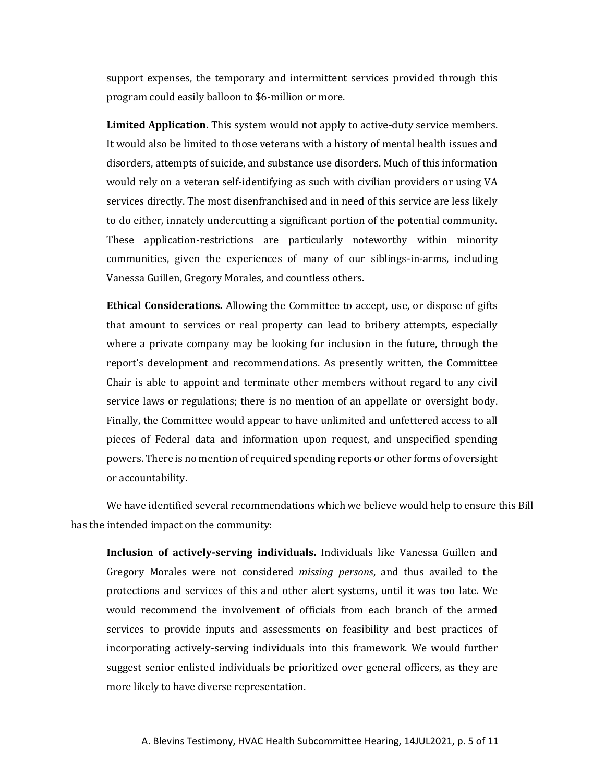support expenses, the temporary and intermittent services provided through this program could easily balloon to \$6-million or more.

**Limited Application.** This system would not apply to active-duty service members. It would also be limited to those veterans with a history of mental health issues and disorders, attempts of suicide, and substance use disorders. Much of this information would rely on a veteran self-identifying as such with civilian providers or using VA services directly. The most disenfranchised and in need of this service are less likely to do either, innately undercutting a significant portion of the potential community. These application-restrictions are particularly noteworthy within minority communities, given the experiences of many of our siblings-in-arms, including Vanessa Guillen, Gregory Morales, and countless others.

**Ethical Considerations.** Allowing the Committee to accept, use, or dispose of gifts that amount to services or real property can lead to bribery attempts, especially where a private company may be looking for inclusion in the future, through the report's development and recommendations. As presently written, the Committee Chair is able to appoint and terminate other members without regard to any civil service laws or regulations; there is no mention of an appellate or oversight body. Finally, the Committee would appear to have unlimited and unfettered access to all pieces of Federal data and information upon request, and unspecified spending powers. There is no mention of required spending reports or other forms of oversight or accountability.

We have identified several recommendations which we believe would help to ensure this Bill has the intended impact on the community:

**Inclusion of actively-serving individuals.** Individuals like Vanessa Guillen and Gregory Morales were not considered *missing persons*, and thus availed to the protections and services of this and other alert systems, until it was too late. We would recommend the involvement of officials from each branch of the armed services to provide inputs and assessments on feasibility and best practices of incorporating actively-serving individuals into this framework. We would further suggest senior enlisted individuals be prioritized over general officers, as they are more likely to have diverse representation.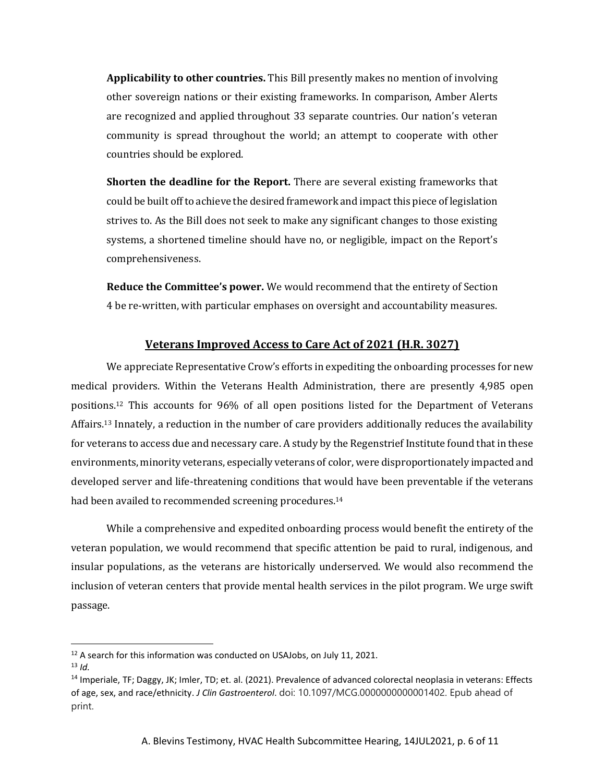**Applicability to other countries.** This Bill presently makes no mention of involving other sovereign nations or their existing frameworks. In comparison, Amber Alerts are recognized and applied throughout 33 separate countries. Our nation's veteran community is spread throughout the world; an attempt to cooperate with other countries should be explored.

**Shorten the deadline for the Report.** There are several existing frameworks that could be built off to achieve the desired framework and impact this piece of legislation strives to. As the Bill does not seek to make any significant changes to those existing systems, a shortened timeline should have no, or negligible, impact on the Report's comprehensiveness.

**Reduce the Committee's power.** We would recommend that the entirety of Section 4 be re-written, with particular emphases on oversight and accountability measures.

#### **Veterans Improved Access to Care Act of 2021 (H.R. 3027)**

We appreciate Representative Crow's efforts in expediting the onboarding processes for new medical providers. Within the Veterans Health Administration, there are presently 4,985 open positions.<sup>12</sup> This accounts for 96% of all open positions listed for the Department of Veterans Affairs.<sup>13</sup> Innately, a reduction in the number of care providers additionally reduces the availability for veterans to access due and necessary care. A study by the Regenstrief Institute found that in these environments, minority veterans, especially veterans of color, were disproportionately impacted and developed server and life-threatening conditions that would have been preventable if the veterans had been availed to recommended screening procedures.<sup>14</sup>

While a comprehensive and expedited onboarding process would benefit the entirety of the veteran population, we would recommend that specific attention be paid to rural, indigenous, and insular populations, as the veterans are historically underserved. We would also recommend the inclusion of veteran centers that provide mental health services in the pilot program. We urge swift passage.

 $12$  A search for this information was conducted on USAJobs, on July 11, 2021.

 $13$  *Id.* 

<sup>&</sup>lt;sup>14</sup> Imperiale, TF; Daggy, JK; Imler, TD; et. al. (2021). Prevalence of advanced colorectal neoplasia in veterans: Effects of age, sex, and race/ethnicity. *J Clin Gastroenterol*. doi: 10.1097/MCG.0000000000001402. Epub ahead of print.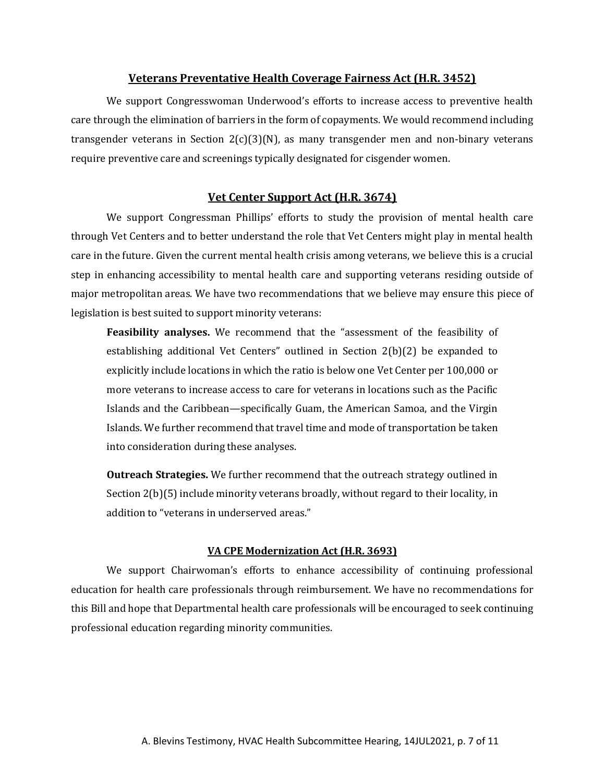#### **Veterans Preventative Health Coverage Fairness Act (H.R. 3452)**

We support Congresswoman Underwood's efforts to increase access to preventive health care through the elimination of barriers in the form of copayments. We would recommend including transgender veterans in Section  $2(c)(3)(N)$ , as many transgender men and non-binary veterans require preventive care and screenings typically designated for cisgender women.

## **Vet Center Support Act (H.R. 3674)**

We support Congressman Phillips' efforts to study the provision of mental health care through Vet Centers and to better understand the role that Vet Centers might play in mental health care in the future. Given the current mental health crisis among veterans, we believe this is a crucial step in enhancing accessibility to mental health care and supporting veterans residing outside of major metropolitan areas. We have two recommendations that we believe may ensure this piece of legislation is best suited to support minority veterans:

**Feasibility analyses.** We recommend that the "assessment of the feasibility of establishing additional Vet Centers" outlined in Section 2(b)(2) be expanded to explicitly include locations in which the ratio is below one Vet Center per 100,000 or more veterans to increase access to care for veterans in locations such as the Pacific Islands and the Caribbean—specifically Guam, the American Samoa, and the Virgin Islands. We further recommend that travel time and mode of transportation be taken into consideration during these analyses.

**Outreach Strategies.** We further recommend that the outreach strategy outlined in Section 2(b)(5) include minority veterans broadly, without regard to their locality, in addition to "veterans in underserved areas."

#### **VA CPE Modernization Act (H.R. 3693)**

We support Chairwoman's efforts to enhance accessibility of continuing professional education for health care professionals through reimbursement. We have no recommendations for this Bill and hope that Departmental health care professionals will be encouraged to seek continuing professional education regarding minority communities.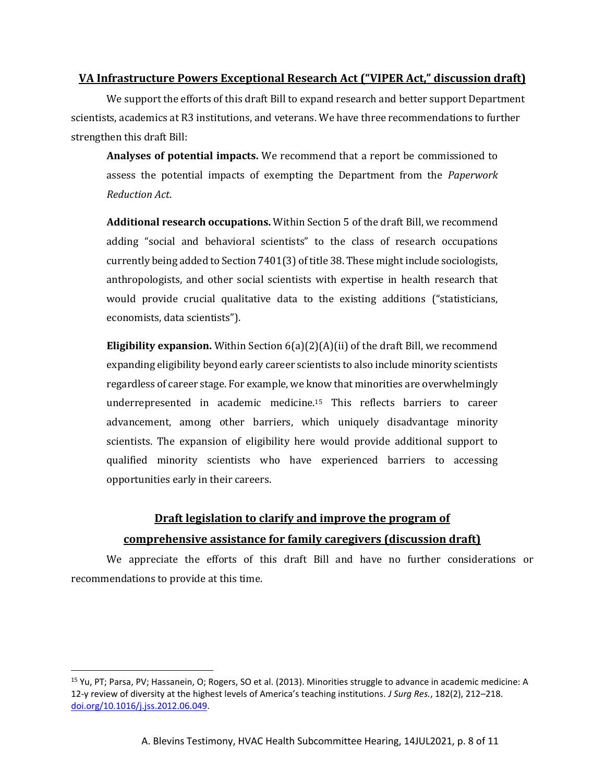# **VA Infrastructure Powers Exceptional Research Act ("VIPER Act," discussion draft)**

We support the efforts of this draft Bill to expand research and better support Department scientists, academics at R3 institutions, and veterans. We have three recommendations to further strengthen this draft Bill:

**Analyses of potential impacts.** We recommend that a report be commissioned to assess the potential impacts of exempting the Department from the *Paperwork Reduction Act*.

**Additional research occupations.** Within Section 5 of the draft Bill, we recommend adding "social and behavioral scientists" to the class of research occupations currently being added to Section 7401(3) of title 38. These might include sociologists, anthropologists, and other social scientists with expertise in health research that would provide crucial qualitative data to the existing additions ("statisticians, economists, data scientists").

**Eligibility expansion.** Within Section 6(a)(2)(A)(ii) of the draft Bill, we recommend expanding eligibility beyond early career scientists to also include minority scientists regardless of career stage. For example, we know that minorities are overwhelmingly underrepresented in academic medicine.<sup>15</sup> This reflects barriers to career advancement, among other barriers, which uniquely disadvantage minority scientists. The expansion of eligibility here would provide additional support to qualified minority scientists who have experienced barriers to accessing opportunities early in their careers.

# **Draft legislation to clarify and improve the program of comprehensive assistance for family caregivers (discussion draft)**

We appreciate the efforts of this draft Bill and have no further considerations or recommendations to provide at this time.

<sup>15</sup> Yu, PT; Parsa, PV; Hassanein, O; Rogers, SO et al. (2013). Minorities struggle to advance in academic medicine: A 12-y review of diversity at the highest levels of America's teaching institutions. *J Surg Res.*, 182(2), 212–218. [doi.org/10.1016/j.jss.2012.06.049.](file:///C:/Users/kairi/AppData/Local/Temp/Temp1_HVAC%20Testimony%20Files%20for%20Kai.zip/doi.org/10.1016/j.jss.2012.06.049)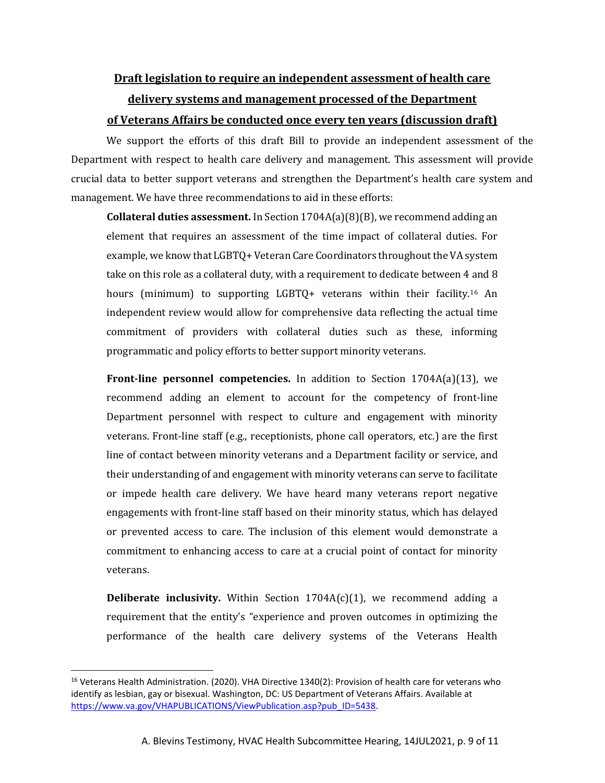# **Draft legislation to require an independent assessment of health care**

# **delivery systems and management processed of the Department of Veterans Affairs be conducted once every ten years (discussion draft)**

We support the efforts of this draft Bill to provide an independent assessment of the Department with respect to health care delivery and management. This assessment will provide crucial data to better support veterans and strengthen the Department's health care system and management. We have three recommendations to aid in these efforts:

**Collateral duties assessment.** In Section 1704A(a)(8)(B), we recommend adding an element that requires an assessment of the time impact of collateral duties. For example, we know that LGBTQ+ Veteran Care Coordinators throughout the VA system take on this role as a collateral duty, with a requirement to dedicate between 4 and 8 hours (minimum) to supporting LGBTQ+ veterans within their facility.<sup>16</sup> An independent review would allow for comprehensive data reflecting the actual time commitment of providers with collateral duties such as these, informing programmatic and policy efforts to better support minority veterans.

**Front-line personnel competencies.** In addition to Section 1704A(a)(13), we recommend adding an element to account for the competency of front-line Department personnel with respect to culture and engagement with minority veterans. Front-line staff (e.g., receptionists, phone call operators, etc.) are the first line of contact between minority veterans and a Department facility or service, and their understanding of and engagement with minority veterans can serve to facilitate or impede health care delivery. We have heard many veterans report negative engagements with front-line staff based on their minority status, which has delayed or prevented access to care. The inclusion of this element would demonstrate a commitment to enhancing access to care at a crucial point of contact for minority veterans.

**Deliberate inclusivity.** Within Section 1704A(c)(1), we recommend adding a requirement that the entity's "experience and proven outcomes in optimizing the performance of the health care delivery systems of the Veterans Health

<sup>&</sup>lt;sup>16</sup> Veterans Health Administration. (2020). VHA Directive 1340(2): Provision of health care for veterans who identify as lesbian, gay or bisexual. Washington, DC: US Department of Veterans Affairs. Available at [https://www.va.gov/VHAPUBLICATIONS/ViewPublication.asp?pub\\_ID=5438.](https://www.va.gov/VHAPUBLICATIONS/ViewPublication.asp?pub_ID=5438)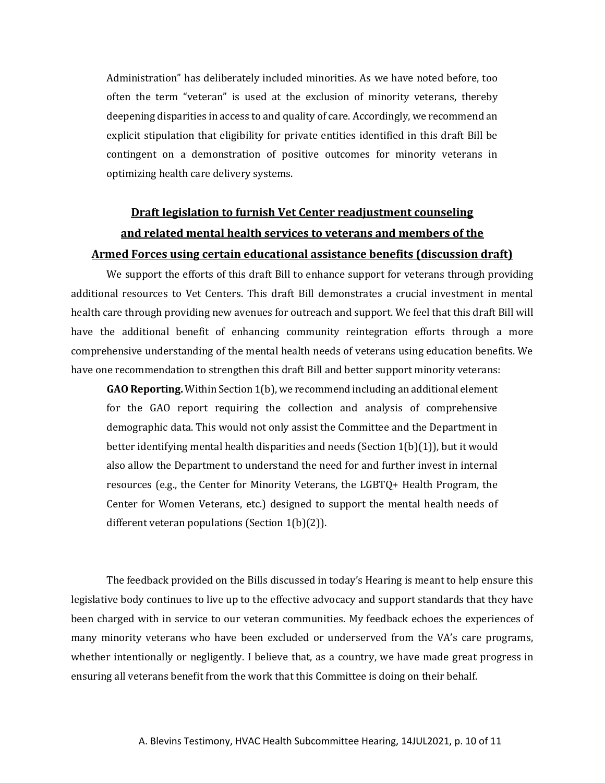Administration" has deliberately included minorities. As we have noted before, too often the term "veteran" is used at the exclusion of minority veterans, thereby deepening disparities in access to and quality of care. Accordingly, we recommend an explicit stipulation that eligibility for private entities identified in this draft Bill be contingent on a demonstration of positive outcomes for minority veterans in optimizing health care delivery systems.

# **Draft legislation to furnish Vet Center readjustment counseling and related mental health services to veterans and members of the Armed Forces using certain educational assistance benefits (discussion draft)**

We support the efforts of this draft Bill to enhance support for veterans through providing additional resources to Vet Centers. This draft Bill demonstrates a crucial investment in mental health care through providing new avenues for outreach and support. We feel that this draft Bill will have the additional benefit of enhancing community reintegration efforts through a more comprehensive understanding of the mental health needs of veterans using education benefits. We have one recommendation to strengthen this draft Bill and better support minority veterans:

**GAO Reporting.** Within Section 1(b), we recommend including an additional element for the GAO report requiring the collection and analysis of comprehensive demographic data. This would not only assist the Committee and the Department in better identifying mental health disparities and needs (Section 1(b)(1)), but it would also allow the Department to understand the need for and further invest in internal resources (e.g., the Center for Minority Veterans, the LGBTQ+ Health Program, the Center for Women Veterans, etc.) designed to support the mental health needs of different veteran populations (Section 1(b)(2)).

The feedback provided on the Bills discussed in today's Hearing is meant to help ensure this legislative body continues to live up to the effective advocacy and support standards that they have been charged with in service to our veteran communities. My feedback echoes the experiences of many minority veterans who have been excluded or underserved from the VA's care programs, whether intentionally or negligently. I believe that, as a country, we have made great progress in ensuring all veterans benefit from the work that this Committee is doing on their behalf.